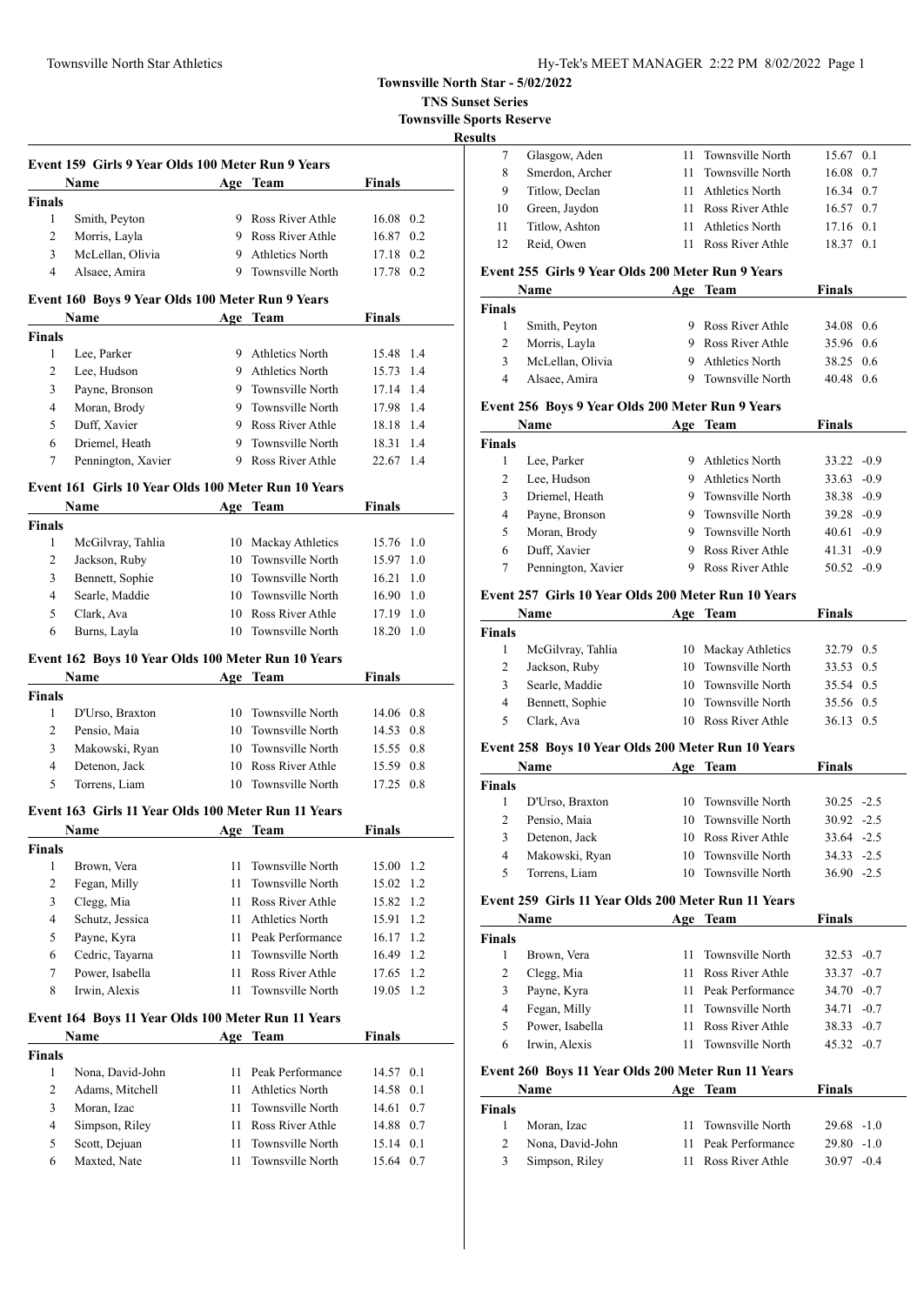### Townsville North Star Athletics Hy-Tek's MEET MANAGER 2:22 PM 8/02/2022 Page 1

**Townsville North Star - 5/02/2022**

**TNS Sunset Series**

**Townsville Sports Reserve**

### **Results**

|                | Name                                                        |          | Age Team                             | Finals                        |
|----------------|-------------------------------------------------------------|----------|--------------------------------------|-------------------------------|
| <b>Finals</b>  |                                                             |          |                                      |                               |
| 1              | Smith, Peyton                                               |          | 9 Ross River Athle                   | 16.08 0.2                     |
| 2              | Morris, Layla                                               |          | 9 Ross River Athle                   | 16.87 0.2                     |
| 3              | McLellan, Olivia                                            |          | 9 Athletics North                    | 17.18 0.2                     |
| $\overline{4}$ | Alsaee, Amira                                               |          | 9 Townsville North                   | 17.78 0.2                     |
|                | Event 160 Boys 9 Year Olds 100 Meter Run 9 Years            |          |                                      |                               |
|                | Name                                                        |          | Age Team                             | <b>Finals</b>                 |
| <b>Finals</b>  |                                                             |          |                                      |                               |
| $\mathbf{1}$   | Lee, Parker                                                 |          | 9 Athletics North                    | 15.48 1.4                     |
| 2              | Lee, Hudson                                                 |          | 9 Athletics North                    | 15.73 1.4                     |
| 3              | Payne, Bronson                                              |          | 9 Townsville North                   | 17.14 1.4                     |
| $\overline{4}$ | Moran, Brody                                                |          | 9 Townsville North                   | 17.98 1.4                     |
| 5              | Duff, Xavier                                                |          | 9 Ross River Athle                   | 18.18 1.4                     |
| 6              | Driemel, Heath                                              |          | 9 Townsville North                   | 18.31 1.4                     |
| 7              | Pennington, Xavier                                          |          | 9 Ross River Athle                   | 22.67 1.4                     |
|                | Event 161 Girls 10 Year Olds 100 Meter Run 10 Years         |          |                                      |                               |
|                | Name                                                        |          | Age Team                             | <b>Finals</b>                 |
| <b>Finals</b>  |                                                             |          |                                      |                               |
| 1              | McGilvray, Tahlia                                           |          | 10 Mackay Athletics                  | 15.76 1.0                     |
| 2              | Jackson, Ruby                                               |          | 10 Townsville North                  | 15.97 1.0                     |
| 3              | Bennett, Sophie                                             |          | 10 Townsville North                  | 16.21 1.0                     |
| $\overline{4}$ | Searle, Maddie                                              |          | 10 Townsville North                  | $16.90 \quad 1.0$             |
| 5              | Clark, Ava                                                  |          | 10 Ross River Athle                  | 17.19 1.0                     |
| 6              | Burns, Layla                                                |          | 10 Townsville North                  | 18.20 1.0                     |
|                | Event 162 Boys 10 Year Olds 100 Meter Run 10 Years          |          |                                      |                               |
|                | <b>Name</b>                                                 |          | Age Team                             | <b>Finals</b>                 |
| <b>Finals</b>  |                                                             |          |                                      |                               |
| 1              | D'Urso, Braxton                                             |          | 10 Townsville North                  | 14.06 0.8                     |
| $\overline{2}$ | Pensio, Maia                                                |          | 10 Townsville North                  | 14.53 0.8                     |
| 3              | Makowski, Ryan                                              |          | 10 Townsville North                  | 15.55 0.8                     |
| $\overline{4}$ | Detenon, Jack                                               |          | 10 Ross River Athle                  | 15.59 0.8                     |
| 5              | Torrens, Liam                                               | 10       | Townsville North                     | 17.25 0.8                     |
|                |                                                             |          |                                      |                               |
|                | Event 163 Girls 11 Year Olds 100 Meter Run 11 Years<br>Name |          | Age Team                             | Finals                        |
| Finals         |                                                             |          |                                      |                               |
| 1              | Brown, Vera                                                 | 11       | Townsville North                     | 15.00 1.2                     |
| $\overline{c}$ | Fegan, Milly                                                | 11       | Townsville North                     | 15.02 1.2                     |
|                |                                                             |          | Ross River Athle                     | 15.82 1.2                     |
|                |                                                             |          |                                      |                               |
| 3              | Clegg, Mia                                                  | 11 -     |                                      |                               |
| 4              | Schutz, Jessica                                             |          | 11 Athletics North                   | 15.91                         |
| 5              | Payne, Kyra                                                 |          | 11 Peak Performance                  |                               |
| 6              | Cedric, Tayarna                                             | 11 -     | Townsville North                     | 1.2<br>16.17 1.2<br>16.49 1.2 |
| 7              | Power, Isabella                                             | 11       | Ross River Athle                     | 17.65 1.2                     |
| 8              | Irwin, Alexis                                               | 11       | Townsville North                     | 19.05 1.2                     |
|                | Event 164 Boys 11 Year Olds 100 Meter Run 11 Years          |          |                                      |                               |
|                | Name                                                        |          | Age Team                             | <b>Finals</b>                 |
| <b>Finals</b>  |                                                             |          |                                      |                               |
| 1              | Nona, David-John                                            | 11       | Peak Performance                     | 14.57 0.1                     |
| $\overline{c}$ | Adams, Mitchell                                             | 11       | <b>Athletics North</b>               | 14.58 0.1                     |
| 3              | Moran, Izac                                                 | 11       | Townsville North                     | 14.61 0.7                     |
| $\overline{4}$ | Simpson, Riley                                              | 11 -     | Ross River Athle                     | 14.88 0.7                     |
| 5<br>6         | Scott, Dejuan<br>Maxted, Nate                               | 11<br>11 | Townsville North<br>Townsville North | 15.14 0.1<br>15.64 0.7        |

|     | Glasgow, Aden                                     |  | 11 Townsville North | 15.67 0.1 |  |  |
|-----|---------------------------------------------------|--|---------------------|-----------|--|--|
| 8   | Smerdon, Archer                                   |  | 11 Townsville North | 16.08 0.7 |  |  |
| 9   | Titlow, Declan                                    |  | 11 Athletics North  | 16.34 0.7 |  |  |
| 10  | Green, Jaydon                                     |  | 11 Ross River Athle | 16.57 0.7 |  |  |
| -11 | Titlow, Ashton                                    |  | 11 Athletics North  | 17.16 0.1 |  |  |
| -12 | Reid, Owen                                        |  | 11 Ross River Athle | 18.37 0.1 |  |  |
|     | vent 255  Girls 9 Year Olds 200 Meter Run 9 Years |  |                     |           |  |  |

# **Event 255 Girls 9 Year Olds 200 Meter Run 9 Years**

|               | Name                                             | Age | Team             | Finals          |
|---------------|--------------------------------------------------|-----|------------------|-----------------|
| <b>Finals</b> |                                                  |     |                  |                 |
| 1             | Smith, Peyton                                    | 9   | Ross River Athle | 34.08 0.6       |
| 2             | Morris, Layla                                    | 9   | Ross River Athle | 35.96 0.6       |
| 3             | McLellan, Olivia                                 | 9   | Athletics North  | 38.25 0.6       |
| 4             | Alsaee, Amira                                    | 9   | Townsville North | 40.48 0.6       |
|               | Event 256 Boys 9 Year Olds 200 Meter Run 9 Years |     |                  |                 |
|               | Name                                             |     | Age Team         | Finals          |
| <b>Finals</b> |                                                  |     |                  |                 |
| 1             | Lee, Parker                                      | 9   | Athletics North  | $33.22 - 0.9$   |
| 2             | Lee, Hudson                                      | 9   | Athletics North  | $33.63 - 0.9$   |
| 3             | Driemel, Heath                                   | 9   | Townsville North | $38.38 - 0.9$   |
| 4             | Payne, Bronson                                   | 9   | Townsville North | $39.28 - 0.9$   |
| 5             | Moran, Brody                                     | 9   | Townsville North | $40.61 - 0.9$   |
| 6             | Duff, Xavier                                     | 9   | Ross River Athle | 41.31<br>$-0.9$ |

### **Event 257 Girls 10 Year Olds 200 Meter Run 10 Years**

|               | Name              |    | Age Team            | <b>Finals</b> |  |
|---------------|-------------------|----|---------------------|---------------|--|
| <b>Finals</b> |                   |    |                     |               |  |
|               | McGilvray, Tahlia |    | 10 Mackay Athletics | 32.79 0.5     |  |
| 2             | Jackson, Ruby     |    | 10 Townsville North | 33.53 0.5     |  |
| 3             | Searle, Maddie    |    | 10 Townsville North | 35.54 0.5     |  |
| 4             | Bennett, Sophie   |    | 10 Townsville North | 35.56 0.5     |  |
| 5             | Clark, Ava        | 10 | Ross River Athle    | 36.13 0.5     |  |
|               |                   |    |                     |               |  |

7 Pennington, Xavier 9 Ross River Athle 50.52 -0.9

### **Event 258 Boys 10 Year Olds 200 Meter Run 10 Years**

|               | Name            | Age Team            | <b>Finals</b> |
|---------------|-----------------|---------------------|---------------|
| <b>Finals</b> |                 |                     |               |
|               | D'Urso, Braxton | 10 Townsville North | $30.25 - 2.5$ |
| 2             | Pensio, Maia    | 10 Townsville North | $30.92 -2.5$  |
| 3             | Detenon, Jack   | 10 Ross River Athle | $33.64 - 2.5$ |
| 4             | Makowski, Ryan  | 10 Townsville North | $34.33 - 2.5$ |
| 5             | Torrens. Liam   | 10 Townsville North | $36.90 - 2.5$ |

### **Event 259 Girls 11 Year Olds 200 Meter Run 11 Years**

|        | Name            | Age | Team                | Finals        |  |
|--------|-----------------|-----|---------------------|---------------|--|
| Finals |                 |     |                     |               |  |
|        | Brown, Vera     |     | 11 Townsville North | $32.53 - 0.7$ |  |
|        | Clegg, Mia      |     | 11 Ross River Athle | $33.37 - 0.7$ |  |
| 3      | Payne, Kyra     |     | 11 Peak Performance | $34.70 - 0.7$ |  |
| 4      | Fegan, Milly    |     | 11 Townsville North | $34.71 - 0.7$ |  |
|        | Power, Isabella |     | 11 Ross River Athle | $38.33 - 0.7$ |  |
| 6      | Irwin, Alexis   |     | Townsville North    | $45.32 -0.7$  |  |

### **Event 260 Boys 11 Year Olds 200 Meter Run 11 Years**

|               | Name             | Age | Team                | <b>Finals</b> |
|---------------|------------------|-----|---------------------|---------------|
| <b>Finals</b> |                  |     |                     |               |
|               | Moran, Izac      |     | 11 Townsville North | $29.68 - 1.0$ |
|               | Nona, David-John |     | 11 Peak Performance | $29.80 - 1.0$ |
| 3             | Simpson, Riley   |     | 11 Ross River Athle | $30.97 - 0.4$ |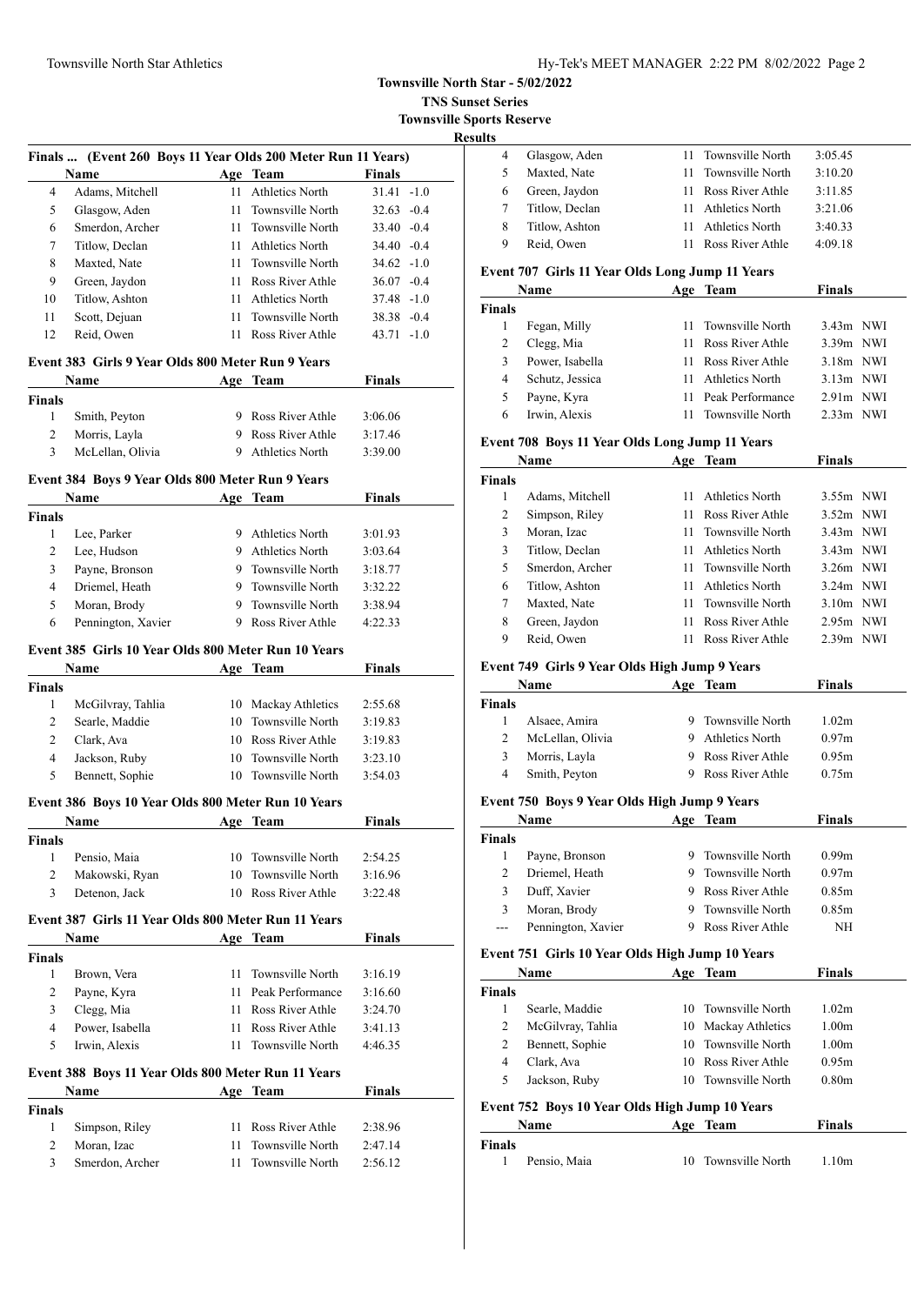#### Townsville North Star Athletics Hy-Tek's MEET MANAGER 2:22 PM 8/02/2022 Page 2

# **Townsville North Star - 5/02/2022**

**TNS Sunset Series**

**Townsville Sports Reserve**

| Finals  (Event 260 Boys 11 Year Olds 200 Meter Run 11 Years) |                                                   |     |                     |               |
|--------------------------------------------------------------|---------------------------------------------------|-----|---------------------|---------------|
|                                                              | Name                                              | Age | Team                | <b>Finals</b> |
| 4                                                            | Adams, Mitchell                                   | 11  | Athletics North     | $31.41 - 1.0$ |
| 5                                                            | Glasgow, Aden                                     | 11  | Townsville North    | $32.63 - 0.4$ |
| 6                                                            | Smerdon, Archer                                   |     | 11 Townsville North | $33.40 - 0.4$ |
| 7                                                            | Titlow, Declan                                    | 11  | Athletics North     | $34.40 - 0.4$ |
| 8                                                            | Maxted, Nate                                      | 11  | Townsville North    | $34.62 - 1.0$ |
| 9                                                            | Green, Jaydon                                     | 11  | Ross River Athle    | $36.07 - 0.4$ |
| 10                                                           | Titlow, Ashton                                    | 11  | Athletics North     | $37.48 - 1.0$ |
| 11                                                           | Scott, Dejuan                                     |     | 11 Townsville North | $38.38 - 0.4$ |
| 12                                                           | Reid, Owen                                        | 11  | Ross River Athle    | $43.71 - 1.0$ |
|                                                              | Event 383 Girls 9 Year Olds 800 Meter Run 9 Years |     |                     |               |
|                                                              | <b>Name</b>                                       |     | Age Team            | <b>Finals</b> |
| Finale                                                       |                                                   |     |                     |               |

| Name   |                  | <b>Age Team</b>    | Finals  |  |
|--------|------------------|--------------------|---------|--|
| Finals |                  |                    |         |  |
|        | Smith, Peyton    | 9 Ross River Athle | 3:06.06 |  |
|        | Morris, Layla    | 9 Ross River Athle | 3:17.46 |  |
|        | McLellan, Olivia | 9 Athletics North  | 3:39.00 |  |

### **Event 384 Boys 9 Year Olds 800 Meter Run 9 Years**

|               | Name                                                |     | <b>Team</b>      | Finals  |  |
|---------------|-----------------------------------------------------|-----|------------------|---------|--|
| <b>Finals</b> |                                                     |     |                  |         |  |
| 1             | Lee, Parker                                         | 9   | Athletics North  | 3:01.93 |  |
| 2             | Lee, Hudson                                         | 9   | Athletics North  | 3:03.64 |  |
| 3             | Payne, Bronson                                      | 9   | Townsville North | 3:18.77 |  |
| 4             | Driemel, Heath                                      | 9   | Townsville North | 3:32.22 |  |
| 5             | Moran, Brody                                        | 9.  | Townsville North | 3:38.94 |  |
| 6             | Pennington, Xavier                                  | 9   | Ross River Athle | 4:22.33 |  |
|               | Event 385 Girls 10 Year Olds 800 Meter Run 10 Years |     |                  |         |  |
|               | Name                                                | Age | Team             | Finals  |  |

# **Finals** McGilvray, Tahlia 10 Mackay Athletics 2:55.68 Searle, Maddie 10 Townsville North 3:19.83 Clark, Ava 10 Ross River Athle 3:19.83 Jackson, Ruby 10 Townsville North 3:23.10 Bennett, Sophie 10 Townsville North 3:54.03 **Event 386 Boys 10 Year Olds 800 Meter Run 10 Years Name Age Team Finals Finals** Pensio, Maia 10 Townsville North 2:54.25 Makowski, Ryan 10 Townsville North 3:16.96 Detenon, Jack 10 Ross River Athle 3:22.48 **Event 387 Girls 11 Year Olds 800 Meter Run 11 Years Name Age Team Finals Finals** Brown, Vera 11 Townsville North 3:16.19 Payne, Kyra 11 Peak Performance 3:16.60 Clegg, Mia 11 Ross River Athle 3:24.70 Power, Isabella 11 Ross River Athle 3:41.13 Irwin, Alexis 11 Townsville North 4:46.35 **Event 388 Boys 11 Year Olds 800 Meter Run 11 Years Name Age Team Finals**

| <b>Finals</b> |                 |                                |  |
|---------------|-----------------|--------------------------------|--|
|               | Simpson, Riley  | 11 Ross River Athle<br>2:38.96 |  |
| 2             | Moran, Izac     | 11 Townsville North<br>2.47.14 |  |
| 3             | Smerdon, Archer | 11 Townsville North<br>2:56.12 |  |

| . . |   |                                                                          |     |                        |         |
|-----|---|--------------------------------------------------------------------------|-----|------------------------|---------|
|     | 4 | Glasgow, Aden                                                            |     | 11 Townsville North    | 3:05.45 |
|     |   | Maxted, Nate                                                             |     | 11 Townsville North    | 3:10.20 |
|     | 6 | Green, Jaydon                                                            | 11  | Ross River Athle       | 3:11.85 |
|     |   | Titlow, Declan                                                           |     | Athletics North        | 3:21.06 |
|     | 8 | Titlow, Ashton                                                           |     | <b>Athletics North</b> | 3:40.33 |
|     | 9 | Reid, Owen                                                               | 11. | Ross River Athle       | 4:09.18 |
|     |   | $\sim$ $\sim$ $\sim$ $\sim$ $\sim$ $\sim$ $\sim$<br>$\sim$ $\sim$ $\sim$ |     |                        |         |

#### **Event 707 Girls 11 Year Olds Long Jump 11 Years**

|               | Name            | Age Team            | <b>Finals</b>            |
|---------------|-----------------|---------------------|--------------------------|
| <b>Finals</b> |                 |                     |                          |
|               | Fegan, Milly    | 11 Townsville North | $3.43m$ NWI              |
| 2             | Clegg, Mia      | 11 Ross River Athle | $3.39m$ NWI              |
| 3             | Power, Isabella | 11 Ross River Athle | $3.18m$ NWI              |
| 4             | Schutz, Jessica | Athletics North     | $3.13m$ NWI              |
| 5             | Payne, Kyra     | 11 Peak Performance | $2.91m$ NWI              |
| 6             | Irwin, Alexis   | Townsville North    | 2.33 <sub>m</sub><br>NWI |

### **Event 708 Boys 11 Year Olds Long Jump 11 Years**

|               | Name            | Age | Team                | Finals      |
|---------------|-----------------|-----|---------------------|-------------|
| <b>Finals</b> |                 |     |                     |             |
| 1             | Adams, Mitchell | 11  | Athletics North     | $3.55m$ NWI |
| 2             | Simpson, Riley  |     | Ross River Athle    | $3.52m$ NWI |
| 3             | Moran, Izac     | 11  | Townsville North    | $3.43m$ NWI |
| 3             | Titlow, Declan  | 11  | Athletics North     | $3.43m$ NWI |
| 5             | Smerdon, Archer |     | 11 Townsville North | $3.26m$ NWI |
| 6             | Titlow, Ashton  | 11  | Athletics North     | $3.24m$ NWI |
| 7             | Maxted, Nate    | 11  | Townsville North    | $3.10m$ NWI |
| 8             | Green, Jaydon   | 11  | Ross River Athle    | $2.95m$ NWI |
| 9             | Reid, Owen      |     | Ross River Athle    | $2.39m$ NWI |

#### **Event 749 Girls 9 Year Olds High Jump 9 Years**

|        | <b>Name</b>      | Age | Team               | Finals            |  |
|--------|------------------|-----|--------------------|-------------------|--|
| Finals |                  |     |                    |                   |  |
|        | Alsaee, Amira    |     | 9 Townsville North | 1.02m             |  |
|        | McLellan, Olivia | 9   | Athletics North    | 0.97 <sub>m</sub> |  |
|        | Morris, Layla    | 9   | Ross River Athle   | 0.95m             |  |
|        | Smith, Peyton    | 9   | Ross River Athle   | 0.75m             |  |

### **Event 750 Boys 9 Year Olds High Jump 9 Years**

|               | Name               |    | Team<br>Age      | <b>Finals</b>     |  |
|---------------|--------------------|----|------------------|-------------------|--|
| <b>Finals</b> |                    |    |                  |                   |  |
|               | Payne, Bronson     | 9. | Townsville North | 0.99 <sub>m</sub> |  |
| 2             | Driemel, Heath     | 9. | Townsville North | 0.97 <sub>m</sub> |  |
| 3             | Duff, Xavier       |    | Ross River Athle | 0.85m             |  |
| 3             | Moran, Brody       | 9. | Townsville North | 0.85 <sub>m</sub> |  |
| $---$         | Pennington, Xavier |    | Ross River Athle | NH                |  |

### **Event 751 Girls 10 Year Olds High Jump 10 Years**

|               | Name              |    | Age Team            | <b>Finals</b>     |  |
|---------------|-------------------|----|---------------------|-------------------|--|
| <b>Finals</b> |                   |    |                     |                   |  |
|               | Searle, Maddie    |    | 10 Townsville North | 1.02m             |  |
| 2             | McGilvray, Tahlia |    | 10 Mackay Athletics | 1.00 <sub>m</sub> |  |
| 2             | Bennett, Sophie   |    | 10 Townsville North | 1.00 <sub>m</sub> |  |
| 4             | Clark, Ava        | 10 | Ross River Athle    | 0.95m             |  |
| 5             | Jackson, Ruby     | 10 | Townsville North    | 0.80 <sub>m</sub> |  |

### **Event 752 Boys 10 Year Olds High Jump 10 Years**

| Name   |              | Age Team            | Finals            |  |
|--------|--------------|---------------------|-------------------|--|
| Finals |              |                     |                   |  |
|        | Pensio. Maia | 10 Townsville North | 1.10 <sub>m</sub> |  |